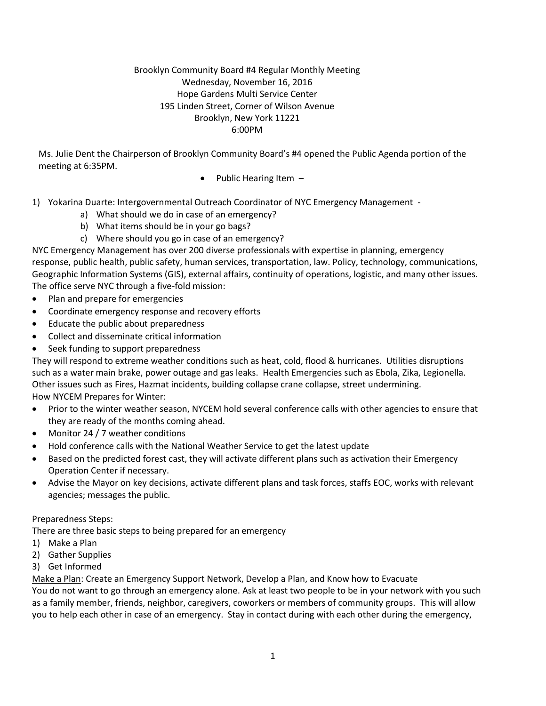### Brooklyn Community Board #4 Regular Monthly Meeting Wednesday, November 16, 2016 Hope Gardens Multi Service Center 195 Linden Street, Corner of Wilson Avenue Brooklyn, New York 11221 6:00PM

Ms. Julie Dent the Chairperson of Brooklyn Community Board's #4 opened the Public Agenda portion of the meeting at 6:35PM.

- Public Hearing Item  $-$
- 1) Yokarina Duarte: Intergovernmental Outreach Coordinator of NYC Emergency Management
	- a) What should we do in case of an emergency?
	- b) What items should be in your go bags?
	- c) Where should you go in case of an emergency?

NYC Emergency Management has over 200 diverse professionals with expertise in planning, emergency response, public health, public safety, human services, transportation, law. Policy, technology, communications, Geographic Information Systems (GIS), external affairs, continuity of operations, logistic, and many other issues. The office serve NYC through a five-fold mission:

- Plan and prepare for emergencies
- Coordinate emergency response and recovery efforts
- Educate the public about preparedness
- Collect and disseminate critical information
- Seek funding to support preparedness

They will respond to extreme weather conditions such as heat, cold, flood & hurricanes. Utilities disruptions such as a water main brake, power outage and gas leaks. Health Emergencies such as Ebola, Zika, Legionella. Other issues such as Fires, Hazmat incidents, building collapse crane collapse, street undermining. How NYCEM Prepares for Winter:

- Prior to the winter weather season, NYCEM hold several conference calls with other agencies to ensure that they are ready of the months coming ahead.
- Monitor 24 / 7 weather conditions
- Hold conference calls with the National Weather Service to get the latest update
- Based on the predicted forest cast, they will activate different plans such as activation their Emergency Operation Center if necessary.
- Advise the Mayor on key decisions, activate different plans and task forces, staffs EOC, works with relevant agencies; messages the public.

### Preparedness Steps:

There are three basic steps to being prepared for an emergency

- 1) Make a Plan
- 2) Gather Supplies
- 3) Get Informed

Make a Plan: Create an Emergency Support Network, Develop a Plan, and Know how to Evacuate

You do not want to go through an emergency alone. Ask at least two people to be in your network with you such as a family member, friends, neighbor, caregivers, coworkers or members of community groups. This will allow you to help each other in case of an emergency. Stay in contact during with each other during the emergency,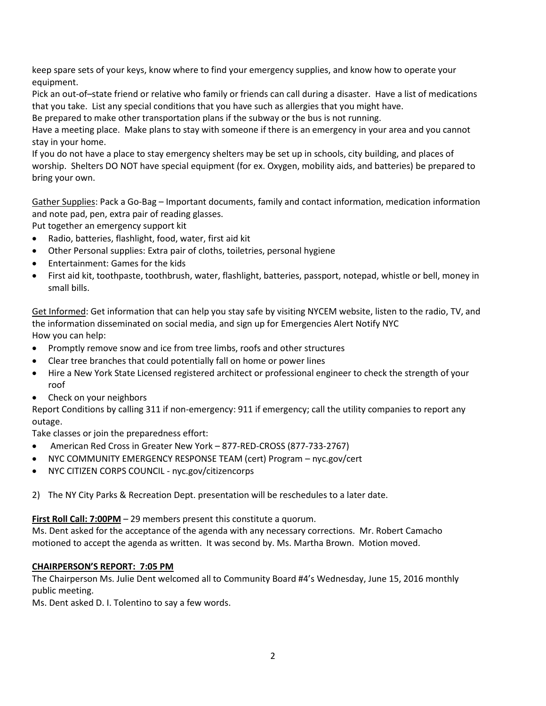keep spare sets of your keys, know where to find your emergency supplies, and know how to operate your equipment.

Pick an out-of–state friend or relative who family or friends can call during a disaster. Have a list of medications that you take. List any special conditions that you have such as allergies that you might have.

Be prepared to make other transportation plans if the subway or the bus is not running.

Have a meeting place. Make plans to stay with someone if there is an emergency in your area and you cannot stay in your home.

If you do not have a place to stay emergency shelters may be set up in schools, city building, and places of worship. Shelters DO NOT have special equipment (for ex. Oxygen, mobility aids, and batteries) be prepared to bring your own.

Gather Supplies: Pack a Go-Bag – Important documents, family and contact information, medication information and note pad, pen, extra pair of reading glasses.

Put together an emergency support kit

- Radio, batteries, flashlight, food, water, first aid kit
- Other Personal supplies: Extra pair of cloths, toiletries, personal hygiene
- Entertainment: Games for the kids
- First aid kit, toothpaste, toothbrush, water, flashlight, batteries, passport, notepad, whistle or bell, money in small bills.

Get Informed: Get information that can help you stay safe by visiting NYCEM website, listen to the radio, TV, and the information disseminated on social media, and sign up for Emergencies Alert Notify NYC How you can help:

- Promptly remove snow and ice from tree limbs, roofs and other structures
- Clear tree branches that could potentially fall on home or power lines
- Hire a New York State Licensed registered architect or professional engineer to check the strength of your roof
- Check on your neighbors

Report Conditions by calling 311 if non-emergency: 911 if emergency; call the utility companies to report any outage.

Take classes or join the preparedness effort:

- American Red Cross in Greater New York 877-RED-CROSS (877-733-2767)
- NYC COMMUNITY EMERGENCY RESPONSE TEAM (cert) Program nyc.gov/cert
- NYC CITIZEN CORPS COUNCIL nyc.gov/citizencorps

2) The NY City Parks & Recreation Dept. presentation will be reschedules to a later date.

**First Roll Call: 7:00PM** – 29 members present this constitute a quorum.

Ms. Dent asked for the acceptance of the agenda with any necessary corrections. Mr. Robert Camacho motioned to accept the agenda as written. It was second by. Ms. Martha Brown. Motion moved.

### **CHAIRPERSON'S REPORT: 7:05 PM**

The Chairperson Ms. Julie Dent welcomed all to Community Board #4's Wednesday, June 15, 2016 monthly public meeting.

Ms. Dent asked D. I. Tolentino to say a few words.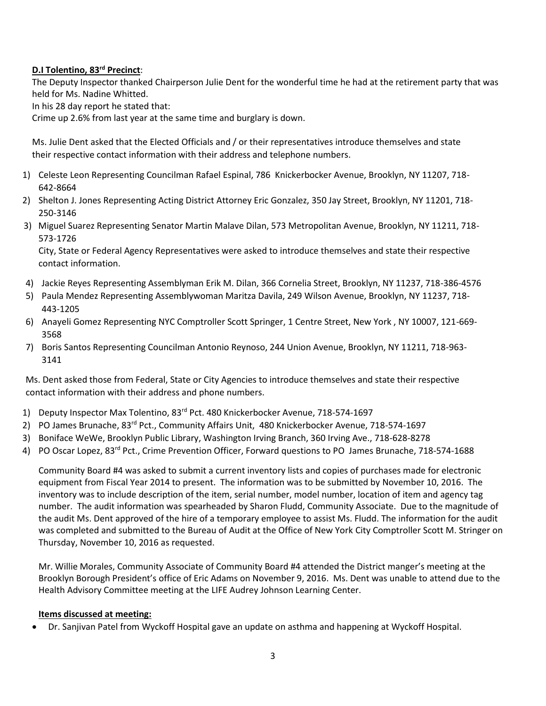# **D.I Tolentino, 83rd Precinct**:

The Deputy Inspector thanked Chairperson Julie Dent for the wonderful time he had at the retirement party that was held for Ms. Nadine Whitted.

In his 28 day report he stated that:

Crime up 2.6% from last year at the same time and burglary is down.

Ms. Julie Dent asked that the Elected Officials and / or their representatives introduce themselves and state their respective contact information with their address and telephone numbers.

- 1) Celeste Leon Representing Councilman Rafael Espinal, 786 Knickerbocker Avenue, Brooklyn, NY 11207, 718- 642-8664
- 2) Shelton J. Jones Representing Acting District Attorney Eric Gonzalez, 350 Jay Street, Brooklyn, NY 11201, 718- 250-3146
- 3) Miguel Suarez Representing Senator Martin Malave Dilan, 573 Metropolitan Avenue, Brooklyn, NY 11211, 718- 573-1726

City, State or Federal Agency Representatives were asked to introduce themselves and state their respective contact information.

- 4) Jackie Reyes Representing Assemblyman Erik M. Dilan, 366 Cornelia Street, Brooklyn, NY 11237, 718-386-4576
- 5) Paula Mendez Representing Assemblywoman Maritza Davila, 249 Wilson Avenue, Brooklyn, NY 11237, 718- 443-1205
- 6) Anayeli Gomez Representing NYC Comptroller Scott Springer, 1 Centre Street, New York , NY 10007, 121-669- 3568
- 7) Boris Santos Representing Councilman Antonio Reynoso, 244 Union Avenue, Brooklyn, NY 11211, 718-963- 3141

Ms. Dent asked those from Federal, State or City Agencies to introduce themselves and state their respective contact information with their address and phone numbers.

- 1) Deputy Inspector Max Tolentino, 83<sup>rd</sup> Pct. 480 Knickerbocker Avenue, 718-574-1697
- 2) PO James Brunache, 83<sup>rd</sup> Pct., Community Affairs Unit, 480 Knickerbocker Avenue, 718-574-1697
- 3) Boniface WeWe, Brooklyn Public Library, Washington Irving Branch, 360 Irving Ave., 718-628-8278
- 4) PO Oscar Lopez, 83<sup>rd</sup> Pct., Crime Prevention Officer, Forward questions to PO James Brunache, 718-574-1688

Community Board #4 was asked to submit a current inventory lists and copies of purchases made for electronic equipment from Fiscal Year 2014 to present. The information was to be submitted by November 10, 2016. The inventory was to include description of the item, serial number, model number, location of item and agency tag number. The audit information was spearheaded by Sharon Fludd, Community Associate. Due to the magnitude of the audit Ms. Dent approved of the hire of a temporary employee to assist Ms. Fludd. The information for the audit was completed and submitted to the Bureau of Audit at the Office of New York City Comptroller Scott M. Stringer on Thursday, November 10, 2016 as requested.

Mr. Willie Morales, Community Associate of Community Board #4 attended the District manger's meeting at the Brooklyn Borough President's office of Eric Adams on November 9, 2016. Ms. Dent was unable to attend due to the Health Advisory Committee meeting at the LIFE Audrey Johnson Learning Center.

### **Items discussed at meeting:**

Dr. Sanjivan Patel from Wyckoff Hospital gave an update on asthma and happening at Wyckoff Hospital.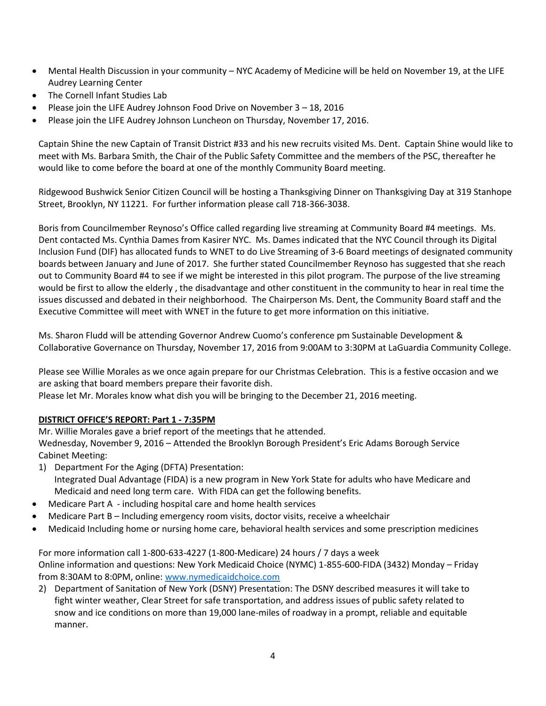- Mental Health Discussion in your community NYC Academy of Medicine will be held on November 19, at the LIFE Audrey Learning Center
- The Cornell Infant Studies Lab
- Please join the LIFE Audrey Johnson Food Drive on November 3 18, 2016
- Please join the LIFE Audrey Johnson Luncheon on Thursday, November 17, 2016.

Captain Shine the new Captain of Transit District #33 and his new recruits visited Ms. Dent. Captain Shine would like to meet with Ms. Barbara Smith, the Chair of the Public Safety Committee and the members of the PSC, thereafter he would like to come before the board at one of the monthly Community Board meeting.

Ridgewood Bushwick Senior Citizen Council will be hosting a Thanksgiving Dinner on Thanksgiving Day at 319 Stanhope Street, Brooklyn, NY 11221. For further information please call 718-366-3038.

Boris from Councilmember Reynoso's Office called regarding live streaming at Community Board #4 meetings. Ms. Dent contacted Ms. Cynthia Dames from Kasirer NYC. Ms. Dames indicated that the NYC Council through its Digital Inclusion Fund (DIF) has allocated funds to WNET to do Live Streaming of 3-6 Board meetings of designated community boards between January and June of 2017. She further stated Councilmember Reynoso has suggested that she reach out to Community Board #4 to see if we might be interested in this pilot program. The purpose of the live streaming would be first to allow the elderly , the disadvantage and other constituent in the community to hear in real time the issues discussed and debated in their neighborhood. The Chairperson Ms. Dent, the Community Board staff and the Executive Committee will meet with WNET in the future to get more information on this initiative.

Ms. Sharon Fludd will be attending Governor Andrew Cuomo's conference pm Sustainable Development & Collaborative Governance on Thursday, November 17, 2016 from 9:00AM to 3:30PM at LaGuardia Community College.

Please see Willie Morales as we once again prepare for our Christmas Celebration. This is a festive occasion and we are asking that board members prepare their favorite dish.

Please let Mr. Morales know what dish you will be bringing to the December 21, 2016 meeting.

# **DISTRICT OFFICE'S REPORT: Part 1 - 7:35PM**

Mr. Willie Morales gave a brief report of the meetings that he attended. Wednesday, November 9, 2016 – Attended the Brooklyn Borough President's Eric Adams Borough Service Cabinet Meeting:

- 1) Department For the Aging (DFTA) Presentation: Integrated Dual Advantage (FIDA) is a new program in New York State for adults who have Medicare and Medicaid and need long term care. With FIDA can get the following benefits.
- Medicare Part A including hospital care and home health services
- Medicare Part B Including emergency room visits, doctor visits, receive a wheelchair
- Medicaid Including home or nursing home care, behavioral health services and some prescription medicines

For more information call 1-800-633-4227 (1-800-Medicare) 24 hours / 7 days a week Online information and questions: New York Medicaid Choice (NYMC) 1-855-600-FIDA (3432) Monday – Friday from 8:30AM to 8:0PM, online: [www.nymedicaidchoice.com](http://www.nymedicaidchoice.com/)

2) Department of Sanitation of New York (DSNY) Presentation: The DSNY described measures it will take to fight winter weather, Clear Street for safe transportation, and address issues of public safety related to snow and ice conditions on more than 19,000 lane-miles of roadway in a prompt, reliable and equitable manner.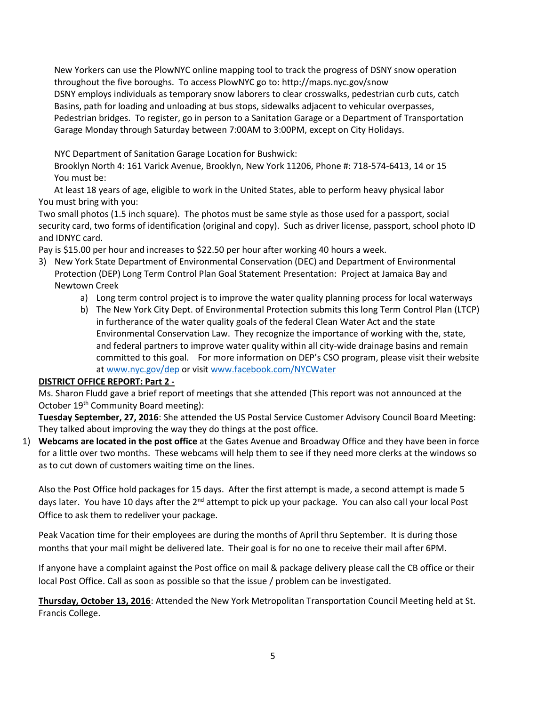New Yorkers can use the PlowNYC online mapping tool to track the progress of DSNY snow operation throughout the five boroughs. To access PlowNYC go to: http://maps.nyc.gov/snow DSNY employs individuals as temporary snow laborers to clear crosswalks, pedestrian curb cuts, catch Basins, path for loading and unloading at bus stops, sidewalks adjacent to vehicular overpasses, Pedestrian bridges. To register, go in person to a Sanitation Garage or a Department of Transportation Garage Monday through Saturday between 7:00AM to 3:00PM, except on City Holidays.

NYC Department of Sanitation Garage Location for Bushwick:

 Brooklyn North 4: 161 Varick Avenue, Brooklyn, New York 11206, Phone #: 718-574-6413, 14 or 15 You must be:

 At least 18 years of age, eligible to work in the United States, able to perform heavy physical labor You must bring with you:

Two small photos (1.5 inch square). The photos must be same style as those used for a passport, social security card, two forms of identification (original and copy). Such as driver license, passport, school photo ID and IDNYC card.

Pay is \$15.00 per hour and increases to \$22.50 per hour after working 40 hours a week.

- 3) New York State Department of Environmental Conservation (DEC) and Department of Environmental Protection (DEP) Long Term Control Plan Goal Statement Presentation: Project at Jamaica Bay and Newtown Creek
	- a) Long term control project is to improve the water quality planning process for local waterways
	- b) The New York City Dept. of Environmental Protection submits this long Term Control Plan (LTCP) in furtherance of the water quality goals of the federal Clean Water Act and the state Environmental Conservation Law. They recognize the importance of working with the, state, and federal partners to improve water quality within all city-wide drainage basins and remain committed to this goal. For more information on DEP's CSO program, please visit their website a[t www.nyc.gov/dep](http://www.nyc.gov/dep) or visit [www.facebook.com/NYCWater](http://www.facebook.com/NYCWater)

# **DISTRICT OFFICE REPORT: Part 2 -**

Ms. Sharon Fludd gave a brief report of meetings that she attended (This report was not announced at the October 19<sup>th</sup> Community Board meeting):

**Tuesday September, 27, 2016**: She attended the US Postal Service Customer Advisory Council Board Meeting: They talked about improving the way they do things at the post office.

1) **Webcams are located in the post office** at the Gates Avenue and Broadway Office and they have been in force for a little over two months. These webcams will help them to see if they need more clerks at the windows so as to cut down of customers waiting time on the lines.

Also the Post Office hold packages for 15 days. After the first attempt is made, a second attempt is made 5 days later. You have 10 days after the 2<sup>nd</sup> attempt to pick up your package. You can also call your local Post Office to ask them to redeliver your package.

Peak Vacation time for their employees are during the months of April thru September. It is during those months that your mail might be delivered late. Their goal is for no one to receive their mail after 6PM.

If anyone have a complaint against the Post office on mail & package delivery please call the CB office or their local Post Office. Call as soon as possible so that the issue / problem can be investigated.

**Thursday, October 13, 2016**: Attended the New York Metropolitan Transportation Council Meeting held at St. Francis College.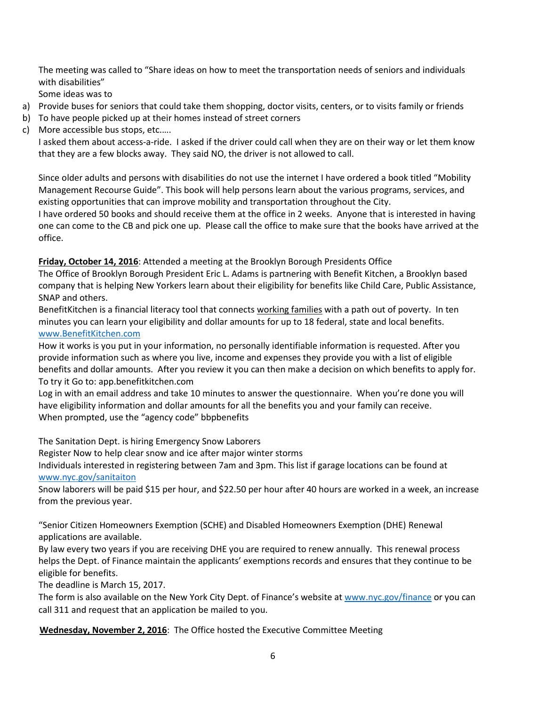The meeting was called to "Share ideas on how to meet the transportation needs of seniors and individuals with disabilities"

Some ideas was to

- a) Provide buses for seniors that could take them shopping, doctor visits, centers, or to visits family or friends
- b) To have people picked up at their homes instead of street corners
- c) More accessible bus stops, etc.….

I asked them about access-a-ride. I asked if the driver could call when they are on their way or let them know that they are a few blocks away. They said NO, the driver is not allowed to call.

Since older adults and persons with disabilities do not use the internet I have ordered a book titled "Mobility Management Recourse Guide". This book will help persons learn about the various programs, services, and existing opportunities that can improve mobility and transportation throughout the City.

I have ordered 50 books and should receive them at the office in 2 weeks. Anyone that is interested in having one can come to the CB and pick one up. Please call the office to make sure that the books have arrived at the office.

**Friday, October 14, 2016**: Attended a meeting at the Brooklyn Borough Presidents Office

The Office of Brooklyn Borough President Eric L. Adams is partnering with Benefit Kitchen, a Brooklyn based company that is helping New Yorkers learn about their eligibility for benefits like Child Care, Public Assistance, SNAP and others.

BenefitKitchen is a financial literacy tool that connects working families with a path out of poverty. In ten minutes you can learn your eligibility and dollar amounts for up to 18 federal, state and local benefits. [www.BenefitKitchen.com](http://www.benefitkitchen.com/)

How it works is you put in your information, no personally identifiable information is requested. After you provide information such as where you live, income and expenses they provide you with a list of eligible benefits and dollar amounts. After you review it you can then make a decision on which benefits to apply for. To try it Go to: app.benefitkitchen.com

Log in with an email address and take 10 minutes to answer the questionnaire. When you're done you will have eligibility information and dollar amounts for all the benefits you and your family can receive. When prompted, use the "agency code" bbpbenefits

The Sanitation Dept. is hiring Emergency Snow Laborers Register Now to help clear snow and ice after major winter storms

Individuals interested in registering between 7am and 3pm. This list if garage locations can be found at [www.nyc.gov/sanitaiton](http://www.nyc.gov/sanitaiton)

Snow laborers will be paid \$15 per hour, and \$22.50 per hour after 40 hours are worked in a week, an increase from the previous year.

"Senior Citizen Homeowners Exemption (SCHE) and Disabled Homeowners Exemption (DHE) Renewal applications are available.

By law every two years if you are receiving DHE you are required to renew annually. This renewal process helps the Dept. of Finance maintain the applicants' exemptions records and ensures that they continue to be eligible for benefits.

The deadline is March 15, 2017.

The form is also available on the New York City Dept. of Finance's website at [www.nyc.gov/finance](http://www.nyc.gov/finance) or you can call 311 and request that an application be mailed to you.

**Wednesday, November 2, 2016**: The Office hosted the Executive Committee Meeting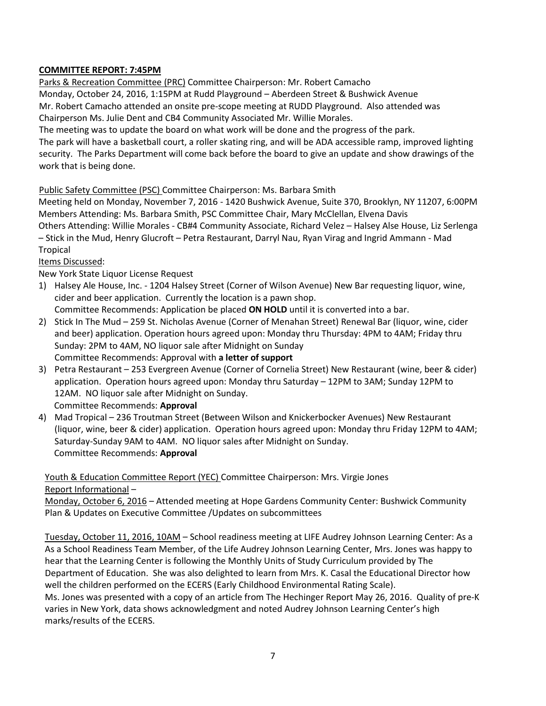# **COMMITTEE REPORT: 7:45PM**

 Parks & Recreation Committee (PRC) Committee Chairperson: Mr. Robert Camacho Monday, October 24, 2016, 1:15PM at Rudd Playground – Aberdeen Street & Bushwick Avenue Mr. Robert Camacho attended an onsite pre-scope meeting at RUDD Playground. Also attended was Chairperson Ms. Julie Dent and CB4 Community Associated Mr. Willie Morales.

The meeting was to update the board on what work will be done and the progress of the park.

 The park will have a basketball court, a roller skating ring, and will be ADA accessible ramp, improved lighting security. The Parks Department will come back before the board to give an update and show drawings of the work that is being done.

Public Safety Committee (PSC) Committee Chairperson: Ms. Barbara Smith

Meeting held on Monday, November 7, 2016 - 1420 Bushwick Avenue, Suite 370, Brooklyn, NY 11207, 6:00PM Members Attending: Ms. Barbara Smith, PSC Committee Chair, Mary McClellan, Elvena Davis

Others Attending: Willie Morales - CB#4 Community Associate, Richard Velez – Halsey Alse House, Liz Serlenga – Stick in the Mud, Henry Glucroft – Petra Restaurant, Darryl Nau, Ryan Virag and Ingrid Ammann - Mad Tropical

### Items Discussed:

New York State Liquor License Request

- 1) Halsey Ale House, Inc. 1204 Halsey Street (Corner of Wilson Avenue) New Bar requesting liquor, wine, cider and beer application. Currently the location is a pawn shop. Committee Recommends: Application be placed **ON HOLD** until it is converted into a bar.
- 2) Stick In The Mud 259 St. Nicholas Avenue (Corner of Menahan Street) Renewal Bar (liquor, wine, cider and beer) application. Operation hours agreed upon: Monday thru Thursday: 4PM to 4AM; Friday thru Sunday: 2PM to 4AM, NO liquor sale after Midnight on Sunday Committee Recommends: Approval with **a letter of support**
- 3) Petra Restaurant 253 Evergreen Avenue (Corner of Cornelia Street) New Restaurant (wine, beer & cider) application. Operation hours agreed upon: Monday thru Saturday – 12PM to 3AM; Sunday 12PM to 12AM. NO liquor sale after Midnight on Sunday. Committee Recommends: **Approval**
- 4) Mad Tropical 236 Troutman Street (Between Wilson and Knickerbocker Avenues) New Restaurant (liquor, wine, beer & cider) application. Operation hours agreed upon: Monday thru Friday 12PM to 4AM; Saturday-Sunday 9AM to 4AM. NO liquor sales after Midnight on Sunday. Committee Recommends: **Approval**

Youth & Education Committee Report (YEC) Committee Chairperson: Mrs. Virgie Jones Report Informational –

Monday, October 6, 2016 – Attended meeting at Hope Gardens Community Center: Bushwick Community Plan & Updates on Executive Committee /Updates on subcommittees

Tuesday, October 11, 2016, 10AM – School readiness meeting at LIFE Audrey Johnson Learning Center: As a As a School Readiness Team Member, of the Life Audrey Johnson Learning Center, Mrs. Jones was happy to hear that the Learning Center is following the Monthly Units of Study Curriculum provided by The Department of Education. She was also delighted to learn from Mrs. K. Casal the Educational Director how well the children performed on the ECERS (Early Childhood Environmental Rating Scale). Ms. Jones was presented with a copy of an article from The Hechinger Report May 26, 2016. Quality of pre-K

varies in New York, data shows acknowledgment and noted Audrey Johnson Learning Center's high marks/results of the ECERS.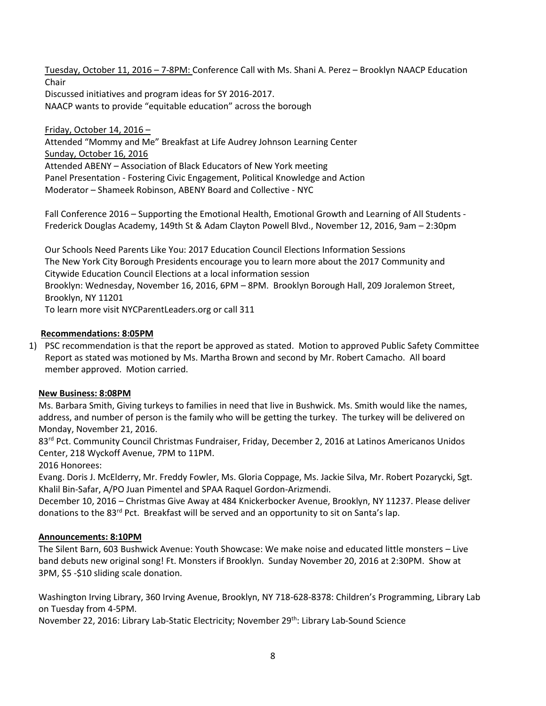Tuesday, October 11, 2016 – 7-8PM: Conference Call with Ms. Shani A. Perez – Brooklyn NAACP Education Chair Discussed initiatives and program ideas for SY 2016-2017. NAACP wants to provide "equitable education" across the borough

Friday, October 14, 2016 – Attended "Mommy and Me" Breakfast at Life Audrey Johnson Learning Center Sunday, October 16, 2016 Attended ABENY – Association of Black Educators of New York meeting Panel Presentation - Fostering Civic Engagement, Political Knowledge and Action Moderator – Shameek Robinson, ABENY Board and Collective - NYC

Fall Conference 2016 – Supporting the Emotional Health, Emotional Growth and Learning of All Students - Frederick Douglas Academy, 149th St & Adam Clayton Powell Blvd., November 12, 2016, 9am – 2:30pm

Our Schools Need Parents Like You: 2017 Education Council Elections Information Sessions The New York City Borough Presidents encourage you to learn more about the 2017 Community and Citywide Education Council Elections at a local information session Brooklyn: Wednesday, November 16, 2016, 6PM – 8PM. Brooklyn Borough Hall, 209 Joralemon Street, Brooklyn, NY 11201 To learn more visit NYCParentLeaders.org or call 311

### **Recommendations: 8:05PM**

1) PSC recommendation is that the report be approved as stated. Motion to approved Public Safety Committee Report as stated was motioned by Ms. Martha Brown and second by Mr. Robert Camacho. All board member approved. Motion carried.

### **New Business: 8:08PM**

Ms. Barbara Smith, Giving turkeys to families in need that live in Bushwick. Ms. Smith would like the names, address, and number of person is the family who will be getting the turkey. The turkey will be delivered on Monday, November 21, 2016.

83<sup>rd</sup> Pct. Community Council Christmas Fundraiser, Friday, December 2, 2016 at Latinos Americanos Unidos Center, 218 Wyckoff Avenue, 7PM to 11PM.

2016 Honorees:

Evang. Doris J. McElderry, Mr. Freddy Fowler, Ms. Gloria Coppage, Ms. Jackie Silva, Mr. Robert Pozarycki, Sgt. Khalil Bin-Safar, A/PO Juan Pimentel and SPAA Raquel Gordon-Arizmendi.

December 10, 2016 – Christmas Give Away at 484 Knickerbocker Avenue, Brooklyn, NY 11237. Please deliver donations to the 83<sup>rd</sup> Pct. Breakfast will be served and an opportunity to sit on Santa's lap.

### **Announcements: 8:10PM**

The Silent Barn, 603 Bushwick Avenue: Youth Showcase: We make noise and educated little monsters – Live band debuts new original song! Ft. Monsters if Brooklyn. Sunday November 20, 2016 at 2:30PM. Show at 3PM, \$5 -\$10 sliding scale donation.

Washington Irving Library, 360 Irving Avenue, Brooklyn, NY 718-628-8378: Children's Programming, Library Lab on Tuesday from 4-5PM.

November 22, 2016: Library Lab-Static Electricity; November 29<sup>th</sup>: Library Lab-Sound Science